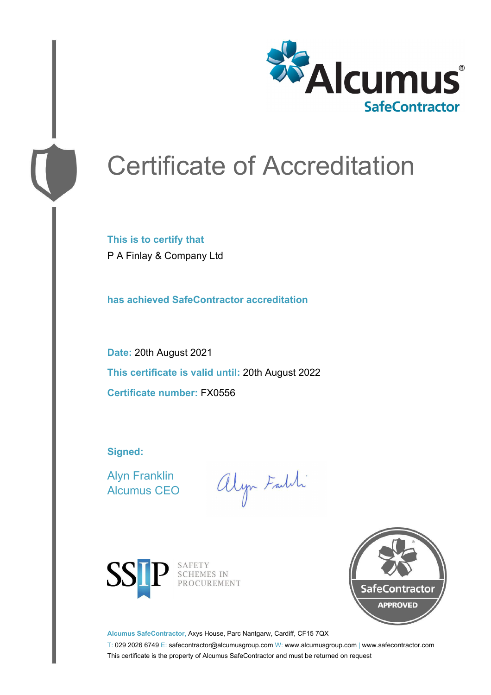

# Certificate of Accreditation

**This is to certify that** P A Finlay & Company Ltd

**has achieved SafeContractor accreditation**

**Date:** 20th August 2021 **This certificate is valid until:** 20th August 2022 **Certificate number:** FX0556

**Signed:**

Alyn Franklin Alcumus CEO

alyn Faldi



SAFETY<br>SCHEMES IN PROCUREMENT



**Alcumus SafeContractor,** Axys House, Parc Nantgarw, Cardiff, CF15 7QX

T: 029 2026 6749 E: safecontractor@alcumusgroup.com W: www.alcumusgroup.com | www.safecontractor.com This certificate is the property of Alcumus SafeContractor and must be returned on request